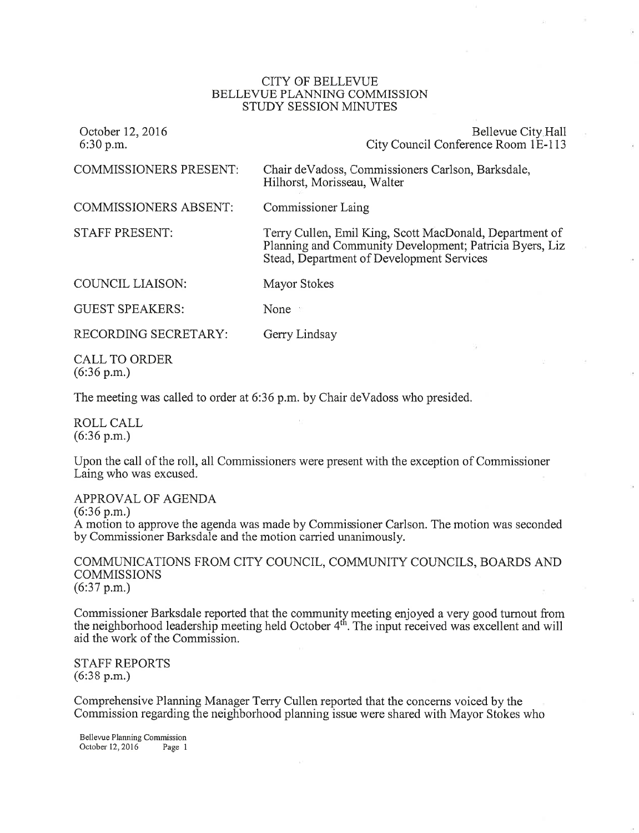## CITY OF BELLEVUE BELLEVUE PLANNING COMMISSION STUDY SESSION MINUTES

| October 12, 2016<br>6:30 p.m.                 | Bellevue City Hall<br>City Council Conference Room 1E-113                                                                                                       |
|-----------------------------------------------|-----------------------------------------------------------------------------------------------------------------------------------------------------------------|
| <b>COMMISSIONERS PRESENT:</b>                 | Chair de Vadoss, Commissioners Carlson, Barksdale,<br>Hilhorst, Morisseau, Walter                                                                               |
| <b>COMMISSIONERS ABSENT:</b>                  | Commissioner Laing                                                                                                                                              |
| <b>STAFF PRESENT:</b>                         | Terry Cullen, Emil King, Scott MacDonald, Department of<br>Planning and Community Development; Patricia Byers, Liz<br>Stead, Department of Development Services |
| <b>COUNCIL LIAISON:</b>                       | Mayor Stokes                                                                                                                                                    |
| <b>GUEST SPEAKERS:</b>                        | None $\mathbb{R}$                                                                                                                                               |
| RECORDING SECRETARY:                          | Gerry Lindsay                                                                                                                                                   |
| <b>CALL TO ORDER</b><br>$(6:36 \text{ p.m.})$ |                                                                                                                                                                 |

The meeting was called to order at 6:36 p.m. by Chair deVadoss who presided.

ROLL CALL (6:36 p.m.)

Upon the call of the roll, all Commissioners were present with the exception of Commissioner Laing who was excused.

APPROVAL OF AGENDA (6:36 p.m.) A motion to approve the agenda was made by Commissioner Carlson. The motion was seconded by Commissioner Barksdale and the motion carried unanimously.

COMMLINICATIONS FROM CITY COUNCIL, COMMUNITY COUNCILS, BOARDS AND **COMMISSIONS** (6:37 p.m.)

Commissioner Barksdale reported that the community meeting enjoyed a very good turnout from the neighborhood leadership meeting held October 4<sup>th</sup>. The input received was excellent and will aid the work of the Commission.

STAFF REPORTS (6:38 p.m.)

Comprehensive Planning Manager Terry Cullen reported that the concerns voiced by the Commission regarding the neighborhood planning issue were shared with Mayor Stokes who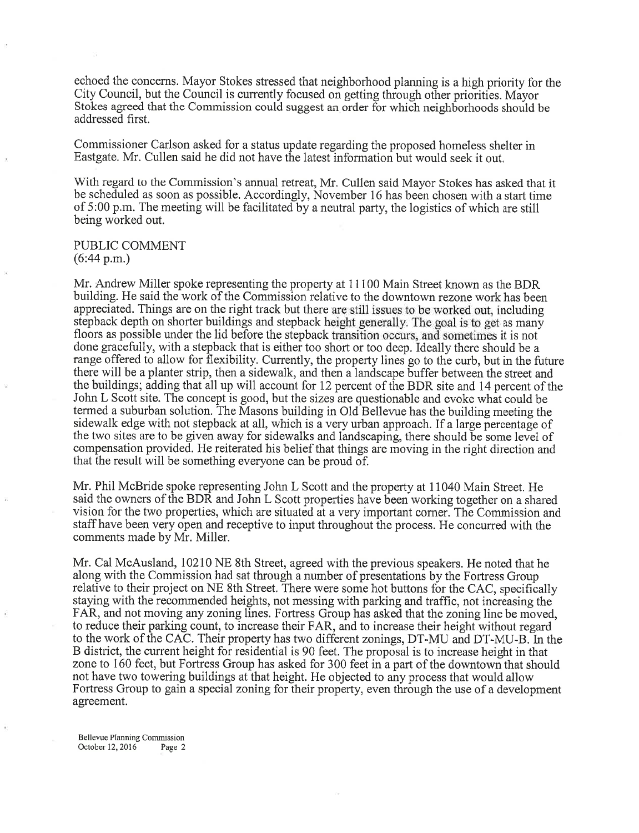echoed the concerns. Mayor Stokes stressed that neighborhood planning is a high priority for the City Council, but the Council is currently focused on getting through other priorities. Mayor Stokes agreed that the Commission could suggest an order for which neighborhoods should be addressed first.

Commissioner Carlson asked for a status update regarding the proposed homeless shelter in Eastgate. Mr. Cullen said he did not have the latest information but would seek it out.

With regard to the Commission's annual retreat, Mr. Cullen said Mayor Stokes has asked that it be scheduled as soon as possible. Accordingly, November 16 has been chosen with a start time of 5:00 p.m. The meeting will be facilitated by a neutral party, the logistics of which are still being worked out.

## PUBLIC COMMENT

(6:44 p.m.)

Mr. Andrew Miller spoke representing the property at 11100 Main Street known as the BDR building. He said the work of the Commission relative to the downtown rezone work has been appreciated. Things are on the right track but there are still issues to be worked out, including stepback depth on shorter buildings and stepback height generally. The goal is to get as many floors as possible under the lid before the stepback transition occurs, and sometimes it is not done gracefully, with a stepback that is either too short or too deep. Ideally there should be <sup>a</sup> range offered to allow for flexibility. Currently, the property lines go to the curb, but in the future there will be a planter strip, then a sidewalk, and then a landscape buffer between the street and the buildings; adding that all up will account for 12 percent of the BDR site and 14 percent of the John L Scott site. The concept is good, but the sizes are questionable and evoke what could be termed a suburban solution. The Masons building in Old Bellevue has the building meeting the sidewalk edge with not stepback at all, which is a very urban approach. If a large percentage of the two sites are to be given away for sidewalks and landscaping, there should be some level of compensation provided. He reiterated his belief that things are moving in the right direction and that the result will be something everyone can be proud of.

Mr. Phil McBride spoke representing John L Scott and the property at 11040 Main Street. He said the owners of the BDR and John L Scott properties have been working together on a shared vision for the two properties, which are situated at avery important comer. The Commission and staff have been very open and receptive to input throughout the process. He concurred with the comments made by Mr. Miller.

Mr. Cal McAusland, 10210 NE 8th Street, agreed with the previous speakers. He noted that he along with the Commission had sat through a number of presentations by the Fortress Group relative to their project on NE 8th Street. There were some hot buttons for the CAC, specifically staying with the recommended heights, not messing with parking and traffic, not increasing the FAR, and not moving any zoning lines. Fortress Group has asked that the zoning line be moved, to reduce their parking count, to increase their FAR, and to increase their height without regard to the work of the CAC. Their property has two different zonings, DT-MU and DT-MU-B. In the B district, the current height for residential is 90 feet. The proposal is to increase height in that zone to 160 feet, but Fortress Group has asked for 300 feet in a part of the downtown that should not have two towering buildings at that height. He objected to any process that would allow Fortress Group to gain a special zoning for their property, even through the use of a development agreement.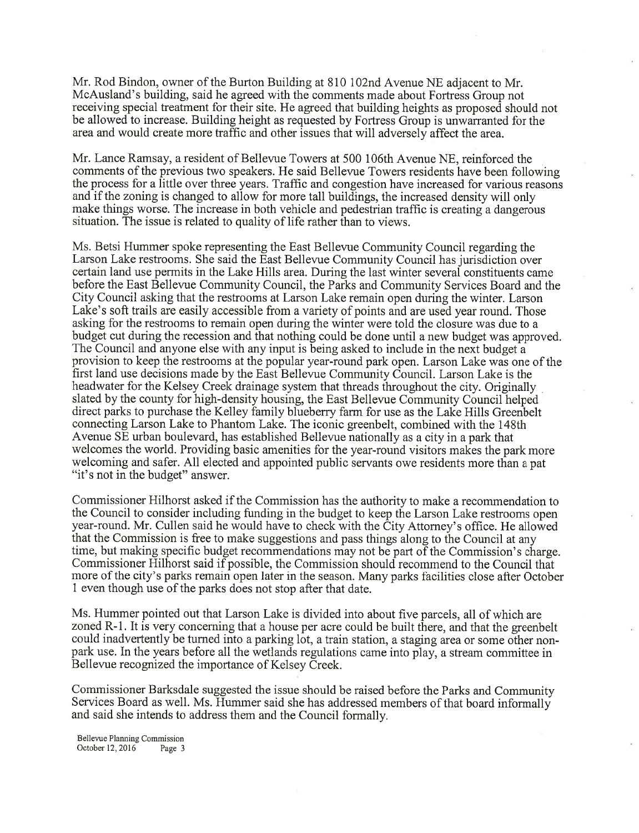Mr. Rod Bindon, owner of the Burton Building at 810 102nd Avenue NE adjacent to Mr. McAusland's building, said he agreed with the comments made about Fortress Group not receiving special treatment for their site. He agreed that building heights as proposed should not be allowed to increase. Building height as requested by Fortress Group is unwarranted for the area and would create more traffic and other issues that will adversely affect the area.

Mr. Lance Ramsay, a resident of Bellevue Towers at 500 106th Avenue NE, reinforced the comments of the previous two speakers. He said Bellevue Towers residents have been following the process for a little over three years. Traffic and congestion have increased for various reasons and if the zoning is changed to allow for more tall buildings, the increased density will only make things worse. The increase in both vehicle and pedestrian traffic is creating a dangerous situation. The issue is related to quality of life rather than to views.

Ms. Betsi Hummer spoke representing the East Bellevue Community Council regarding the Larson Lake restrooms. She said the East Bellevue Community Council has jurisdiction over certain land use permits in the Lake Hills area. During the last winter several constituents came before the East Bellevue Community Council, the Parks and Community Services Board and the City Council asking that the restrooms at Larson Lake remain open during the winter. Larson Lake's soft trails are easily accessible from a variety of points and are used year round. Those asking for the restrooms to remain open during the winter were told the closure was due to <sup>a</sup> budget cut during the recession and that nothing could be done until a new budget was approved. The Council and anyone else with any input is being asked to include in the next budget <sup>a</sup> provision to keep the restrooms at the popular year-round park open. Larson Lake was one of the first land use decisions made by the East Bellevue Community Council. Larson Lake is the headwater for the Kelsey Creek drainage system that threads throughout the city. Originally slated by the county for high-density housing, the East Bellevue Community Council helped direct parks to purchase the Kelley family blueberry farm for use as the Lake Hills Greenbelt connecting Larson Lake to Phantom Lake. The iconic greenbelt, combined with the 148th Avenue SE urban boulevard, has established Bellewe nationally as a city in a park that welcomes the world. Providing basic amenities for the year-round visitors makes the park more welcoming and safer. All elected and appointed public servants owe residents more than a pat "it's not in the budget" answer.

Commissioner Hilhorst asked if the Commission has the authority to make a recommendation to the Council to consider including funding in the budget to keep the Larson Lake restrooms open year-round. Mr. Cullen said he would have to check with the City Attorney's office. He allowed that the Commission is free to make suggestions and pass things along to the Council at any time, but making specific budget recommendations may not be part of the Commission's charge. Commissioner Hilhorst said if possible, the Commission should recommend to the Council that more of the city's parks remain open later in the season. Many parks facilities close after October <sup>1</sup>even though use of the parks does not stop after that date.

Ms. Hummer pointed out that Larson Lake is divided into about five parcels, all of which are zoned R-l. It is very concerning that a house per acre could be built there, and that the greenbelt could inadvertently be turned into a parking lot, a train station, a staging area or some other nonpark use. In the years before all the wetlands regulations came into play, a stream committee in Bellevue recognized the importance of Kelsey Creek.

Commissioner Barksdale suggested the issue should be raised before the Parks and Community Services Board as well. Ms. Hummer said she has addressed members of that board informally and said she intends to address them and the Council formally.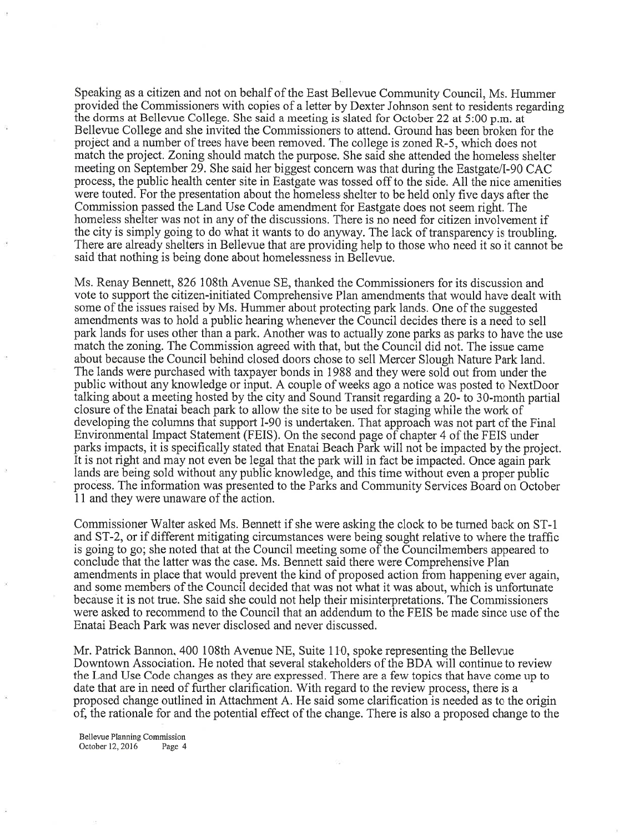Speaking as a citizen and not on behalf of the East Bellevue Community Council, Ms. Hummer provided the Commissioners with copies of a letter by Dexter Johnson sent to residents regarding the dorms at Bellevue College. She said a meeting is slated for October 22 at 5:00 p.m. at Bellevue College and she invited the Commissioners to attend. Ground has been broken for the project and a number of trees have been removed. The college is zoned R-5, which does not match the project. Zoning should match the purpose. She said she attended the homeless shelter meeting on September 29. She said her biggest concem was that during the Eastgate/I-90 CAC process, the public health center site in Eastgate was tossed off to the side. All the nice amenities were touted. For the presentation about the homeless shelter to be held only five days after the Commission passed the Land Use Code amendment for Eastgate does not seem right. The homeless shelter was not in any of the discussions. There is no need for citizen involvement if the city is simply going to do what it wants to do anyway. The lack of transparency is troubling. There are already shelters in Bellevue that are providing help to those who need it so it cannot be said that nothing is being done about homelessness in Bellevue.

Ms. Renay Bennett, 826 108th Avenue SE, thanked the Commissioners for its discussion and vote to support the citizen-initiated Comprehensive Plan amendments that would have dealt with some of the issues raised by Ms. Hummer about protecting park lands. One of the suggested amendments was to hold a public hearing whenever the Council decides there is a need to sell park lands for uses other than a park. Another was to actually zone parks as parks to have the use match the zoning. The Commission agreed with that, but the Council did not. The issue came about because the Council behind closed doors chose to sell Mercer Slough Nature Park land. The lands were purchased with taxpayer bonds in 1988 and they were sold out from under the public without any knowledge or input. A couple of weeks ago a notice was posted to NextDoor talking about a meeting hosted by the city and Sound Transit regarding a20- to 30-month partral closure of the Enatai beach park to allow the site to be used for staging while the work of developing the columns that support I-90 is undertaken. That approach was not part of the Final Environmental Impact Statement (FEIS). On the second page of chapter 4 of the FEIS under parks impacts, it is specifically stated that Enatai Beach Park will not be impacted by the project. It is not right and may not even be legal that the park will in fact be impacted. Once again park lands are being sold without any public knowledge, and this time without even a proper public process. The information was presented to the Parks and Community Services Board on October <sup>11</sup>and they were unaware of the action.

Commissioner Walter asked Ms. Bennett if she were asking the clock to be tumed back on ST-1 and ST-2, or if different mitigating circumstances were being sought relative to where the traffic is going to go; she noted that at the Council meeting some of the Councilmembers appeared to conclude that the latter was the case. Ms. Bennett said there were Comprehensive Plan amendments in place that would prevent the kind of proposed action from happening ever again, and some members of the Council decided that was not what it was about, which is unfortunate because it is not true. She said she could not help their misinterpretations. The Commissioners were asked to recommend to the Council that an addendum to the FEIS be made since use of the Enatai Beach Park was never disclosed and never discussed.

Mr. Patrick Bannon, 400 108th Avenue NE, Suite 110, spoke representing the Bellevue Downtown Association. He noted that several stakeholders of the BDA will continue to review the Land Use Code changes as they are expressed. There are a few topics that have come up to date that are in need of further clarification. With regard to the review process, there is <sup>a</sup> proposed change outlined in Attachment A. He said some clarification is needed as to the origin of, the rationale for and the potential effect of the change. There is also a proposed change to the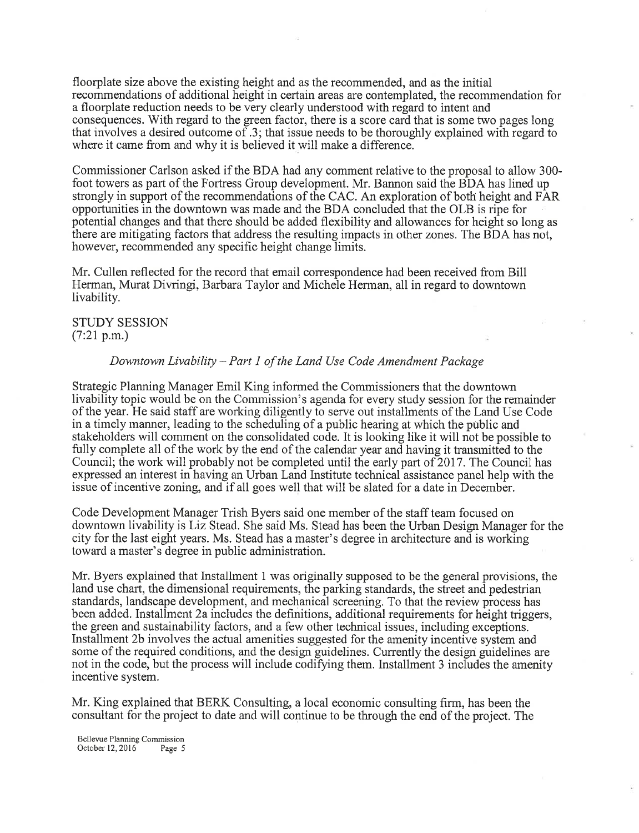floorplate size above the existing height and as the recommended, and as the initial recommendations of additional height in certain areas are contemplated, the recommendation for <sup>a</sup>floorplate reduction needs to be very clearly understood with regard to intent and consequences. With regard to the green factor, there is a score card that is some two pages long that involves a desired outcome of .3; that issue needs to be thoroughly explained with regard to where it came from and why it is believed it will make a difference.

Commissioner Carlson asked if the BDA had any comment relative to the proposal to allow 300 foot towers as part of the Fortress Group development. Mr. Bannon said the BDA has lined up strongly in support of the recommendations of the CAC. An exploration of both height and FAR opportunities in the downtown was made and the BDA concluded that the OLB is ripe for potential changes and that there should be added flexibility and allowances for height so long as there are mitigating factors that address the resulting impacts in other zones. The BDA has not, however, recommended any specific height change limits.

Mr. Cullen reflected for the record that email correspondence had been received from Bill Herman, Murat Diwingi, Barbara Taylor and Michele Herman, all in regard to downtown livability.

STUDY SESSION  $(7:21 p.m.)$ 

## Downtown Livability - Part 1 of the Land Use Code Amendment Package

Strategic Planning Manager Emil King informed the Commissioners that the downtown livability topic would be on the Commission's agenda for every study session for the remainder of the year. He said staff are working diligently to serve out installments of the Land Use Code in a timely manner, leading to the scheduling of a public hearing at which the public and stakeholders will comment on the consolidated code. It is looking like it will not be possible to fully complete all of the work by the end of the calendar year and having it transmitted to the Council; the work will probably not be completed until the early part of 2017. The Council has expressed an interest in having an Urban Land Institute technical assistance panel help with the issue of incentive zoning, and if all goes well that will be slated for a date in December.

Code Development Manager Trish Byers said one member of the staff team focused on downtown livability isLiz Stead. She said Ms. Stead has been the Urban Design Manager for the city for the last eight years. Ms. Stead has a master's degree in architecture and is working toward a master's degree in public administration.

Mr. Byers explained that Installment 1 was originally supposed to be the general provisions, the land use chart, the dimensional requirements, the parking standards, the street and pedestrian standards, landscape development, and mechanical screening. To that the review process has been added. Installment 2a includes the definitions, additional requirements for height triggers, the green and sustainability factors, and a few other technical issues, including exceptions. Installment 2b involves the actual amenities suggested for the amenity incentive system and some of the required conditions, and the design guidelines. Currently the design guidelines are not in the code, but the process will include codifying them. Installment 3 includes the amenity incentive system.

Mr. King explained that BERK Consulting, a local economic consulting firm, has been the consultant for the project to date and will continue to be through the end of the project. The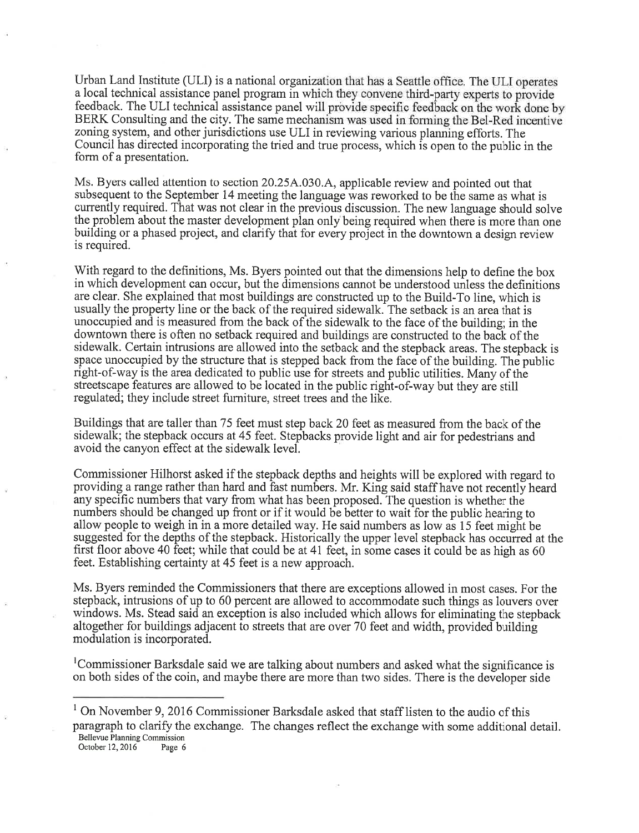Urban Land Institute (ULI) is a national organization that has a Seattle office. The ULI operates a local technical assistance panel program in which they convene third-party experts to provide feedback. The ULI technical assistance panel will provide specific feedback on the work done by BERK Consulting and the city. The same mechanism was used in forming the Bel-Red incentive zoning system, and other jurisdictions use ULI in reviewing various planning efforts. The Council has directed incorporating the tried and true process, which is open io the public in the form of a presentation.

Ms. Byers called attention to section 20.25A.030.A, applicable review and pointed out that subsequent to the September 14 meeting the language was reworked to be the same as what is currently required. That was not clear in the previous discussion. The new language should solve the problem about the master development plan only being required when there is more than one building or a phased project, and clarify that for every project in the downtown a design review is required.

With regard to the definitions, Ms. Byers pointed out that the dimensions help to define the box in which development can occur, but the dimensions cannot be understood unless the definitions are clear. She explained that most buildings are constructed up to the Build-To line, which is usually the property line or the back of the required sidewalk. The setback is an area that is unoccupied and is measured from the back of the sidewalk to the face of the building; in the downtown there is often no setback required and buildings are constructed to the back of the sidewalk. Certain intrusions are allowed into the setback and the stepback areas. The stepback is space unoccupied by the structure that is stepped back from the face of the building. The public right-of-way is the area dedicated to public use for streets and public utilities. Many of the streetscape features are allowed to be located in the public right-of-way but they are still regulated; they include street furniture, street trees and the like.

Buildings that are taller than 75 feet must step back20 feet as measured from the back of the sidewalk; the stepback occurs at 45 feet. Stepbacks provide light and air for pedestrians and avoid the canyon effect at the sidewalk level.

Commissioner Hilhorst asked if the stepback depths and heights will be explored with regard to providing a range rather than hard and fast numbers. Mr. King said staff have not recently heard any specific numbers that vary from what has been proposed. The question is whether the numbers should be changed up front or if it would be better to wait for the public hearing to allow people to weigh in in a more detailed way. He said numbers as low as 15 feet might be suggested for the depths of the stepback. Historically the upper level stepback has occurred at the first floor above 40 feet; while that could be at 4l feet, in some cases it could be as high as <sup>60</sup> feet. Establishing certainty at 45 feet is a new approach.

Ms. Byers reminded the Commissioners that there are exceptions allowed in most cases. For the stepback, intrusions of up to 60 percent are allowed to accommodate such things as louvers over windows. Ms. Stead said an exception is also included which allows for eliminating the stepback altogether for buildings adjacent to streets that are over 70 feet and width, provided building modulation is incorporated.

<sup>1</sup>Commissioner Barksdale said we are talking about numbers and asked what the significance is on both sides of the coin, and maybe there are more than two sides. There is the developer side

paragraph to clarify the exchange. The changes reflect the exchange with some additional detail. Bellevue Planning Commission

October 12,2016 Page 6

 $<sup>1</sup>$  On November 9, 2016 Commissioner Barksdale asked that staff listen to the audio of this</sup>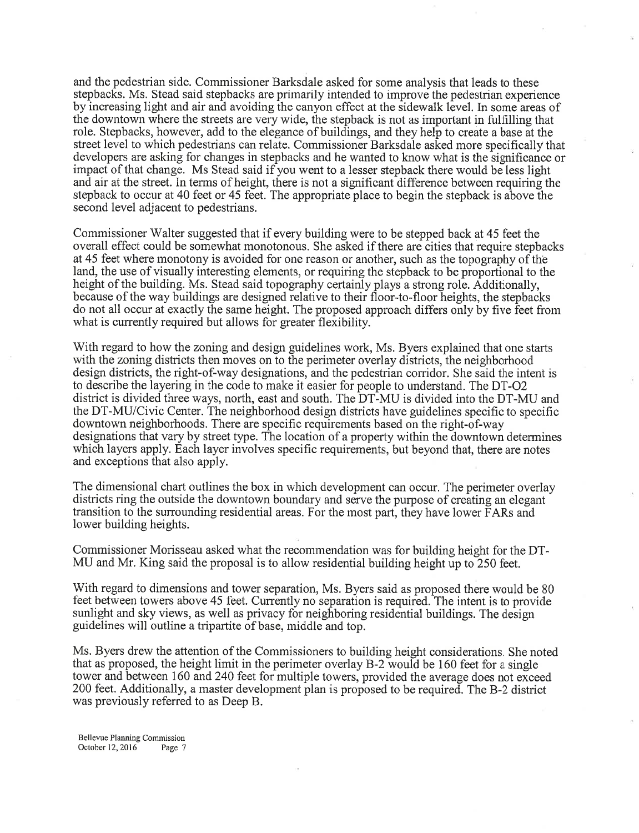and the pedestrian side. Commissioner Barksdale asked for some analysis that leads to these stepbacks. Ms. Stead said stepbacks are primarily intended to improve the pedestrian experience by increasing light and air and avoiding the canyon effect at the sidewalk level. In some areas of the downtown where the streets are very wide, the stepback is not as important in fulfilling that role. Stepbacks, however, add to the elegance of buildings, and they help to create a base at the street level to which pedestrians can relate. Commissioner Barksdale asked more specifically that developers are asking for changes in stepbacks and he wanted to know what is the significance or impact of that change. Ms Stead said if you went to a lesser stepback there would be less light and air at the street. In terms of height, there is not a significant difference between requiring the stepback to occur at 40 feet or 45 feet. The appropriate place to begin the stepback is above the second level adjacent to pedestrians.

Commissioner Walter suggested that if every building were to be stepped back at 45 feet the overall effect could be somewhat monotonous. She asked if there are cities that require stepbacks at 45 feet where monotony is avoided for one reason or another, such as the topography of the land, the use of visually interesting elements, or requiring the stepback to be proportional to the height of the building. Ms. Stead said topography certainly plays a strong role. Additionally, because of the way buildings are designed relative to their floor-to-floor heights, the stepbacks do not all occur at exactly the same height. The proposed approach differs only by five feet from what is currently required but allows for greater flexibility.

With regard to how the zoning and design guidelines work, Ms. Byers explained that one starts with the zoning districts then moves on to the perimeter overlay districts, the neighborhood design districts, the right-of-way designations, and the pedestrian corridor. She said the intent is to describe the layering in the code to make it easier for people to understand. The DT-OZ district is divided three ways, north, east and south. The DT-MU is divided into the DT-MU and the DT-MU/Civic Center. The neighborhood design districts have guidelines specific to specific downtown neighborhoods. There are specific requirements based on the right-of-way designations that vary by street type. The location of a property within the downtown determines which layers apply. Each layer involves specific requirements, but beyond that, there are notes and exceptions that also apply.

The dimensional chart outlines the box in which development can occur. The perimeter overlay districts ring the outside the downtown boundary and serve the purpose of creating an elegant transition to the surrounding residential areas. For the most part, they have lower FARs and lower building heights.

Commissioner Morisseau asked what the recommendation was for building height for the DT-MU and Mr. King said the proposal is to allow residential building height up to 250 feet.

With regard to dimensions and tower separation, Ms. Byers said as proposed there would be <sup>80</sup> feet between towers above 45 feet. Currently no separation is required. The intent is to provide sunlight and sky views, as well as privacy for neighboring residential buildings. The design guidelines will outline a tripartite of base, middle and top.

Ms. Byers drew the attention of the Commissioners to building height considerations. She noted that as proposed, the height limit in the perimeter overlay B-2 would be 160 feet for a single tower and between 160 and 240 feet for multiple towers, provided the average does not exceed 200 feet. Additionally, a master development plan is proposed to be required. The B-2 district was previously referred to as Deep B.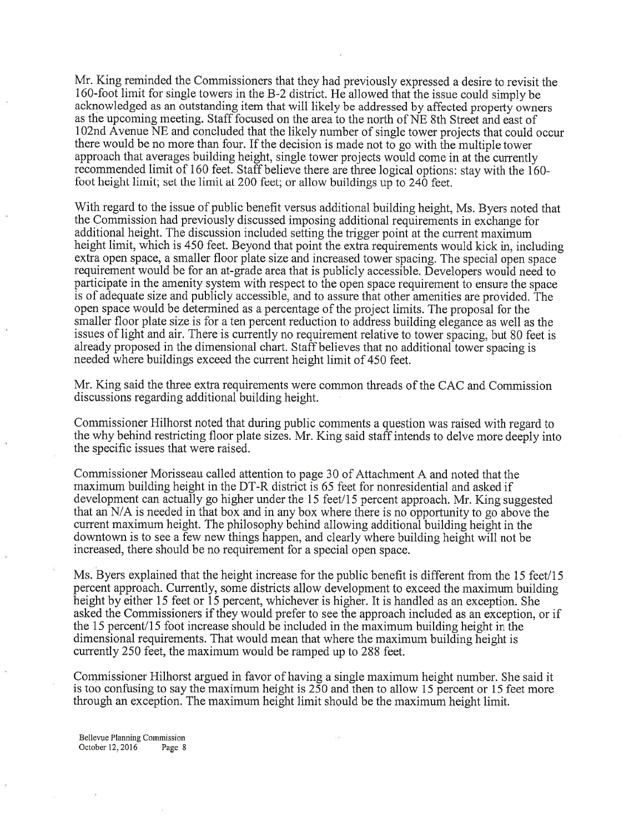Mr. King reminded the Commissioners that they had previously expressed a desire to revisit the 160-foot limit for single towers in the B-2 district. He allowed that the issue could simply be acknowledged as an outstanding item that will likely be addressed by affected property owners as the upcoming meeting. Staff focused on the area to the north of NE 8th Street and east of I02nd Avenue NE and concluded that the likely number of single tower projects that could occur there would be no more than four. If the decision is made not to go with the multiple tower approach that averages building height, single tower projects would come in at the currently recommended limit of i60 feet. Staff believe there are three logical options: stay with the 160 foot height limit; set the limit at 200 feet; or allow buildings up to 240 feet.

With regard to the issue of public benefit versus additional building height, Ms. Byers noted that the Commission had previously discussed imposing additional requirements in exchange for additional height. The discussion included setting the trigger point at the current maximum height limit, which is 450 feet. Beyond that point the extra requirements would kick in, including extra open space, a smaller floor plate size and increased tower spacing. The special open space requirement would be for an at-grade areathat is publicly accessible. Developers would need to participate in the amenity system with respect to the open space requirement to ensure the space is of adequate size and publicly accessible, and to assure that other amenities are provided. The open space would be determined as a percentage of the project limits. The proposal for the smaller floor plate size is for a ten percent reduction to address building elegance as well as the issues of light and air. There is currently no requirement relative to tower spacing, but 80 feet is already proposed in the dimensional chart. Staff believes that no additional tower spacing is needed where buildings exceed the current height limit of 450 feet.

Mr. King said the three extra requirements were common threads of the CAC and Commission discussions regarding additional building height.

Commissioner Hilhorst noted that during public comments a question was raised with regard to the why behind restricting floor plate sizes. Mr. King said staff intends to delve more deeply into the specific issues that were raised.

Commissioner Morisseau called attention to page 30 of Attachment A and noted that the maximum building height in the DT-R district is 65 feet for nonresidential and asked if development can actually go higher under the 15 feet/l5 percent approach. Mr. King suggested that an N/A is needed in that box and in any box where there is no opportunity to go above the current maximum height. The philosophy behind allowing additional building height in the downtown is to see a few new things happen, and clearly where building height will not be increased, there should be no requirement for a special open space.

Ms. Byers explained that the height increase for the public benefit is different from the 15 feet/l5 percent approach. Currently, some districts allow development to exceed the maximum building height by either 15 feet or 15 percent, whichever is higher. It is handled as an exception. She asked the Commissioners if they would prefer to see the approach included as an exception, or if the 15 percent/l5 foot increase should be included in the maximum building height in the dimensional requirements. That would mean that where the maximum building height is currently 250 feet, the maximum would be ramped up to 288 feet.

Commissioner Hilhorst argued in favor of having a single maximum height number. She said it is too confusing to say the maximum height is 250 and then to allow 15 percent or 15 feet more through an exception. The maximum height limit should be the maximum height limit.